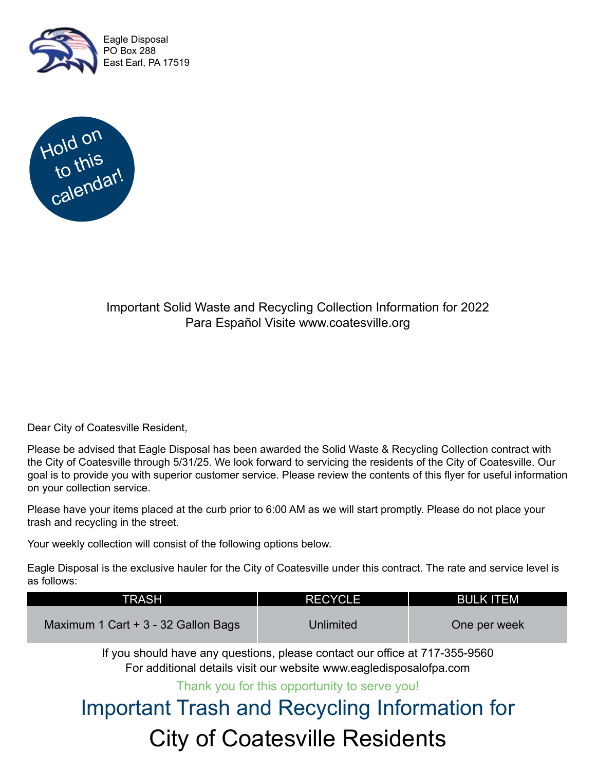



#### Important Solid Waste and Recycling Collection Information for 2022 Para Español Visite www.coatesville.org

Dear City of Coatesville Resident,

Please be advised that Eagle Disposal has been awarded the Solid Waste & Recycling Collection contract with the City of Coatesville through 5/31/25. We look forward to servicing the residents of the City of Coatesville. Our goal is to provide you with superior customer service. Please review the contents of this flyer for useful information on your collection service.

Please have your items placed at the curb prior to 6:00 AM as we will start promptly. Please do not place your trash and recycling in the street.

Your weekly collection will consist of the following options below.

Eagle Disposal is the exclusive hauler for the City of Coatesville under this contract. The rate and service level is as follows:

| TRASH'                              | <b>RECYCLE</b> | <b>BULK ITEM</b> |
|-------------------------------------|----------------|------------------|
| Maximum 1 Cart + 3 - 32 Gallon Bags | Unlimited      | One per week     |

If you should have any questions, please contact our office at 717-355-9560 For additional details visit our website www.eagledisposalofpa.com

Thank you for this opportunity to serve you!

### Important Trash and Recycling Information for City of Coatesville Residents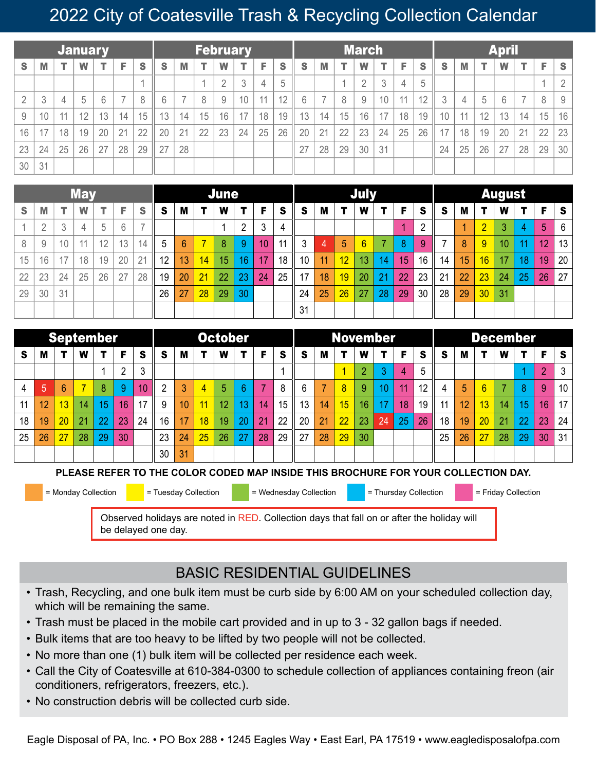#### 2022 City of Coatesville Trash & Recycling Collection Calendar

| <b>January</b> |              |    |    |    |    | February |                  |    |    |        |    | <b>March</b> |    |    |    |    |    |    |    | <b>April</b> |    |    |    |    |    |    |    |
|----------------|--------------|----|----|----|----|----------|------------------|----|----|--------|----|--------------|----|----|----|----|----|----|----|--------------|----|----|----|----|----|----|----|
| S              | M            |    | W  |    | Е  | S        | S                | M  |    | W      |    | Е            | S  | S  | M  |    | W  |    | F  | <b>S</b>     | S  | M  |    | W  |    | F  | S  |
|                |              |    |    |    |    |          |                  |    |    | $\cap$ | 2  | 4            | 5  |    |    |    |    | 3  | 4  | 5            |    |    |    |    |    |    |    |
|                | $\mathbf{r}$ |    | 5  | 6  |    | 8        | $6 \overline{6}$ |    | 8  | 9      | 10 | 11           | 12 | ĥ  |    | 8  | 9  | 10 | 11 | 12           | 3  | 4  | 5  | 6  |    | 8  | 9  |
| 9              | 10           | 11 | 12 | 13 | 14 | 15       | 13               | 14 | 15 | 16     | 17 | 18           | 19 | 13 | 14 | 15 | 16 | 17 | 18 | 19           | 10 | 11 | 12 | 13 | 14 | 15 | 16 |
| 16             | 17           | 18 | 19 | 20 | 21 | 22       | 20               | 21 | 22 | 23     | 24 | 25           | 26 | 20 | 21 | 22 | 23 | 24 | 25 | 26           | 17 | 18 | 19 | 20 | 21 | 22 | 23 |
| 23             | 24           | 25 | 26 | 27 | 28 | 29       | 27               | 28 |    |        |    |              |    | 27 | 28 | 29 | 30 | 31 |    |              | 24 | 25 | 26 | 27 | 28 | 29 | 30 |
| 30             | 31           |    |    |    |    |          |                  |    |    |        |    |              |    |    |    |    |    |    |    |              |    |    |    |    |    |    |    |

| <b>May</b> |    |    |    |    |    | <b>June</b> |    |                |    |                |    | July |    |                 |    |    |                 |    |    | <b>August</b>  |          |    |                |    |                |                |                 |
|------------|----|----|----|----|----|-------------|----|----------------|----|----------------|----|------|----|-----------------|----|----|-----------------|----|----|----------------|----------|----|----------------|----|----------------|----------------|-----------------|
| S          | M  |    |    |    | F  | S           | S  | M              |    | W              | т  | F    | S  | S               | M  | т  | W               |    | F  | <b>S</b>       | <b>S</b> | M  |                | W  |                | F.             | S               |
|            | C  | 3  | 4  | 5  | 6  |             |    |                |    |                | ≘  | 3    | 4  |                 |    |    |                 |    |    | $\overline{2}$ |          | 4  | $\overline{2}$ | 3  | $\overline{4}$ | $\overline{5}$ | $6\phantom{.}6$ |
| 8          | 9  | 10 | 11 | 12 | 13 | 14          | 5  | $6\phantom{1}$ |    | $\overline{8}$ | 9  | 10   | 11 | 3               | 4  | 5  | $6\overline{6}$ |    | 8  | 9              |          | 8  | 9              | 10 | 11             | 12             | 13 <sub>1</sub> |
| 15         | 16 | 17 | 18 | 19 | 20 | 21          | 12 | 13             | 14 | 15             | 16 | 17   | 18 | 10 <sup>°</sup> | 11 | 12 | 13              | 14 | 15 | 16             | 14       | 15 | 16             | 17 | 18             | 19             | 20              |
| 22         | 23 | 24 | 25 | 26 | 27 | 28          | 19 | 20             | 21 | 22             | 23 | 24   | 25 | 17              | 18 | 19 | 20              | 21 | 22 | 23             | 21       | 22 | 23             | 24 | 25             | 26             | 27              |
| 29         | 30 | 31 |    |    |    |             | 26 | 27             | 28 | 29             | 30 |      |    | 24              | 25 | 26 | 27              | 28 | 29 | 30             | 28       | 29 | 30             | 31 |                |                |                 |
|            |    |    |    |    |    |             |    |                |    |                |    |      |    | 31              |    |    |                 |    |    |                |          |    |                |    |                |                |                 |

| September |    |    |    |    |        | <b>October</b> |    |    |    |    |    | <b>November</b> |    |    |    |                |     |    |                | <b>December</b> |    |    |    |    |    |    |    |
|-----------|----|----|----|----|--------|----------------|----|----|----|----|----|-----------------|----|----|----|----------------|-----|----|----------------|-----------------|----|----|----|----|----|----|----|
| <b>S</b>  | M  |    | W  |    | F      | S              | S  | M  | т  | W  |    | F               | S  | S  | M  |                | W   |    | F              | <b>S</b>        | S  | Μ  |    | W  |    | F  | S  |
|           |    |    |    |    | $\sim$ | 3              |    |    |    |    |    |                 |    |    |    |                |     | ≘  | $\overline{4}$ | 5               |    |    |    |    |    | o  | 3  |
| 4         | 5  | 6  |    | 8  | 9      | 10             | 2  | 3  | 4  | 5  | 6  | $\overline{7}$  | 8  | 6  |    | $\overline{8}$ | 9   | 10 | 11             | 12              | 4  | 5  | 6  |    | 8  | 9  | 10 |
|           | 12 | 13 | 14 | 15 | 16     | 17             | 9  | 10 | 11 | 12 | 13 | 14              | 15 | 13 | 14 | 15             | 16  | 17 | 18             | 19              | 11 | 12 | 13 | 14 | 15 | 16 | 17 |
| 18        | 19 | 20 | 21 | 22 | 23     | 24             | 16 | 17 | 18 | 19 | 20 | 21              | 22 | 20 | 21 | 22             | -23 | 24 | 25             | 26              | 18 | 19 | 20 | 21 | 22 | 23 | 24 |
| 25        | 26 | 27 | 28 | 29 | 30     |                | 23 | 24 | 25 | 26 | 27 | 28              | 29 | 27 | 28 | 29             | 30  |    |                |                 | 25 | 26 | 27 | 28 | 29 | 30 | 31 |
|           |    |    |    |    |        |                | 30 | 31 |    |    |    |                 |    |    |    |                |     |    |                |                 |    |    |    |    |    |    |    |

**PLEASE REFER TO THE COLOR CODED MAP INSIDE THIS BROCHURE FOR YOUR COLLECTION DAY.**

| $\blacksquare$ = Monday Collection | $\blacksquare$ = Tuesday Collection | $\blacksquare$ = Wednesday Collection                                                      | $\blacksquare$ = Thursday Collection | $=$ Friday Collection |
|------------------------------------|-------------------------------------|--------------------------------------------------------------------------------------------|--------------------------------------|-----------------------|
|                                    | be delayed one day.                 | Observed holidays are noted in RED. Collection days that fall on or after the holiday will |                                      |                       |

#### BASIC RESIDENTIAL GUIDELINES

- Trash, Recycling, and one bulk item must be curb side by 6:00 AM on your scheduled collection day, which will be remaining the same.
- Trash must be placed in the mobile cart provided and in up to 3 32 gallon bags if needed.
- Bulk items that are too heavy to be lifted by two people will not be collected.
- No more than one (1) bulk item will be collected per residence each week.
- Call the City of Coatesville at 610-384-0300 to schedule collection of appliances containing freon (air conditioners, refrigerators, freezers, etc.).
- No construction debris will be collected curb side.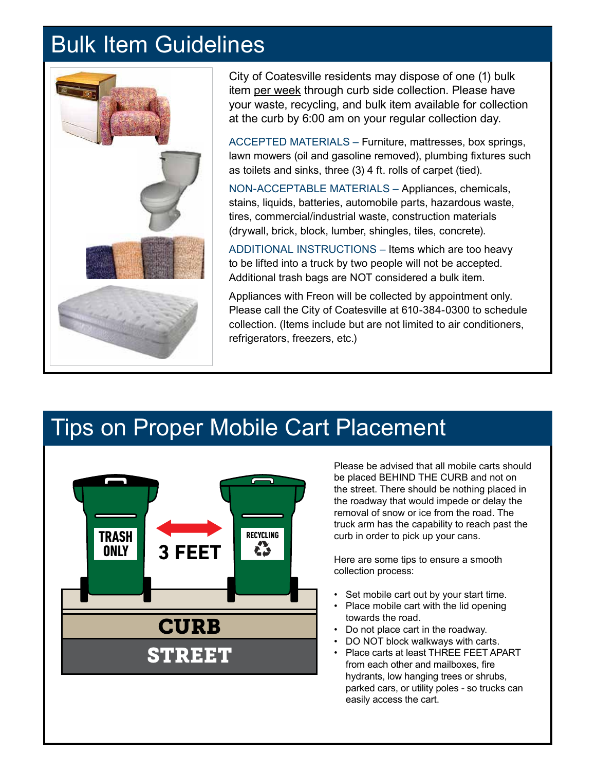#### Bulk Item Guidelines



City of Coatesville residents may dispose of one (1) bulk item per week through curb side collection. Please have your waste, recycling, and bulk item available for collection at the curb by 6:00 am on your regular collection day.

ACCEPTED MATERIALS – Furniture, mattresses, box springs, lawn mowers (oil and gasoline removed), plumbing fixtures such as toilets and sinks, three (3) 4 ft. rolls of carpet (tied).

NON-ACCEPTABLE MATERIALS – Appliances, chemicals, stains, liquids, batteries, automobile parts, hazardous waste, tires, commercial/industrial waste, construction materials (drywall, brick, block, lumber, shingles, tiles, concrete).

ADDITIONAL INSTRUCTIONS – Items which are too heavy to be lifted into a truck by two people will not be accepted. Additional trash bags are NOT considered a bulk item.

Appliances with Freon will be collected by appointment only. Please call the City of Coatesville at 610-384-0300 to schedule collection. (Items include but are not limited to air conditioners, refrigerators, freezers, etc.)

#### Tips on Proper Mobile Cart Placement



Please be advised that all mobile carts should be placed BEHIND THE CURB and not on the street. There should be nothing placed in the roadway that would impede or delay the removal of snow or ice from the road. The truck arm has the capability to reach past the curb in order to pick up your cans.

Here are some tips to ensure a smooth collection process:

- Set mobile cart out by your start time.
- Place mobile cart with the lid opening towards the road.
- Do not place cart in the roadway.
- DO NOT block walkways with carts.
- Place carts at least THREE FEET APART from each other and mailboxes, fire hydrants, low hanging trees or shrubs, parked cars, or utility poles - so trucks can easily access the cart.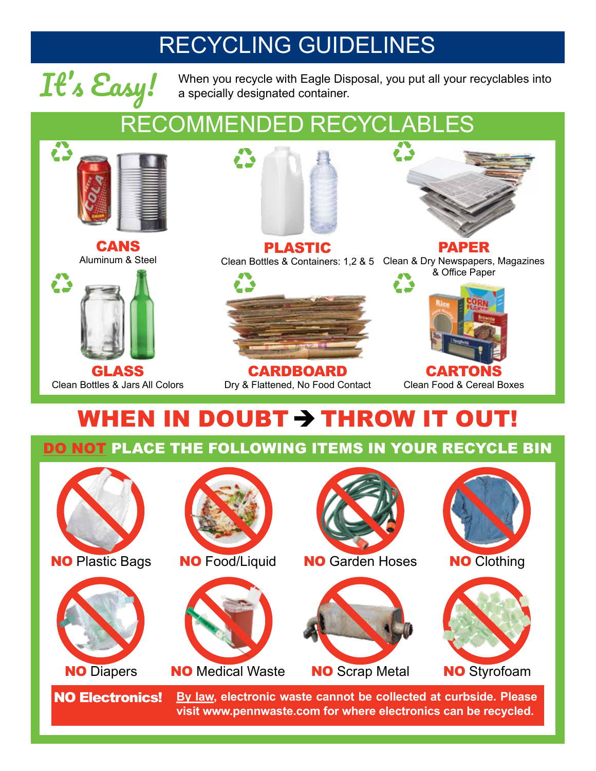### RECYCLING GUIDELINES



**It's Easy!** When you recycle with Eagle Disposal, you put all your recyclables into a specially designated container. a specially designated container.

## RECOMMENDED RECYCLABLES



CANS Aluminum & Steel



Clean Bottles & Jars All Colors





CARDBOARD Dry & Flattened, No Food Contact



Clean Food & Cereal Boxes

## WHEN IN DOUBT $\rightarrow$  THROW IT OUT!

DO NOT PLACE THE FOLLOWING ITEMS IN YOUR RECYCLE BIN